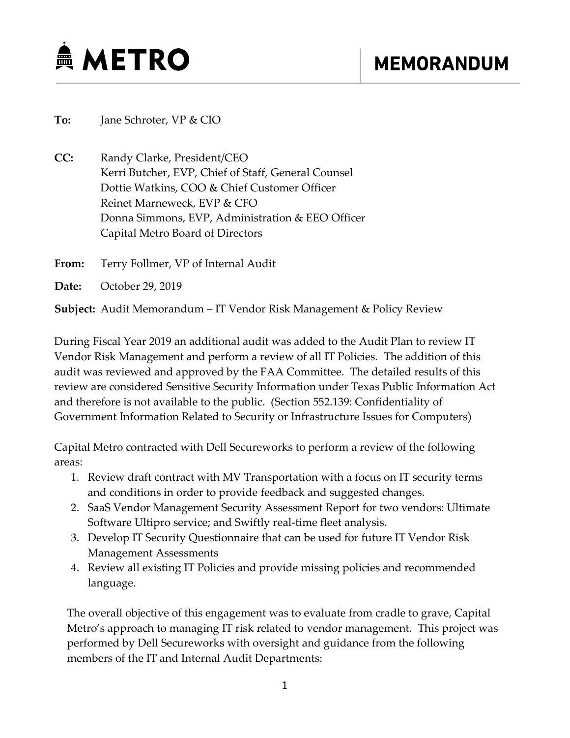

**To:** Jane Schroter, VP & CIO

**CC:** Randy Clarke, President/CEO Kerri Butcher, EVP, Chief of Staff, General Counsel Dottie Watkins, COO & Chief Customer Officer Reinet Marneweck, EVP & CFO Donna Simmons, EVP, Administration & EEO Officer Capital Metro Board of Directors

**From:** Terry Follmer, VP of Internal Audit

**Date:** October 29, 2019

**Subject:** Audit Memorandum – IT Vendor Risk Management & Policy Review

During Fiscal Year 2019 an additional audit was added to the Audit Plan to review IT Vendor Risk Management and perform a review of all IT Policies. The addition of this audit was reviewed and approved by the FAA Committee. The detailed results of this review are considered Sensitive Security Information under Texas Public Information Act and therefore is not available to the public. (Section 552.139: Confidentiality of Government Information Related to Security or Infrastructure Issues for Computers)

Capital Metro contracted with Dell Secureworks to perform a review of the following areas:

- 1. Review draft contract with MV Transportation with a focus on IT security terms and conditions in order to provide feedback and suggested changes.
- 2. SaaS Vendor Management Security Assessment Report for two vendors: Ultimate Software Ultipro service; and Swiftly real-time fleet analysis.
- 3. Develop IT Security Questionnaire that can be used for future IT Vendor Risk Management Assessments
- 4. Review all existing IT Policies and provide missing policies and recommended language.

The overall objective of this engagement was to evaluate from cradle to grave, Capital Metro's approach to managing IT risk related to vendor management. This project was performed by Dell Secureworks with oversight and guidance from the following members of the IT and Internal Audit Departments: